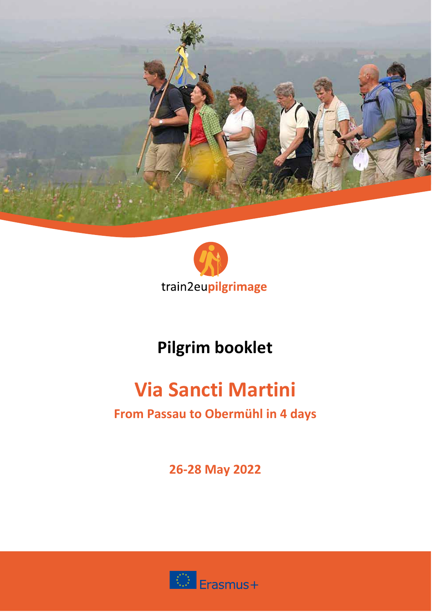



# **Pilgrim booklet**

# **Via Sancti Martini**

# **From Passau to Obermühl in 4 days**

**26-28 May 2022**

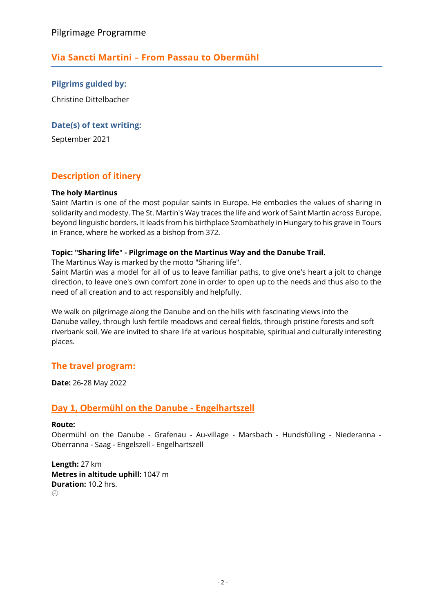# **Via Sancti Martini – From Passau to Obermühl**

**Pilgrims guided by:** Christine Dittelbacher

#### **Date(s) of text writing:**

September 2021

### **Description of itinery**

#### **The holy Martinus**

Saint Martin is one of the most popular saints in Europe. He embodies the values of sharing in solidarity and modesty. The St. Martin's Way traces the life and work of Saint Martin across Europe, beyond linguistic borders. It leads from his birthplace Szombathely in Hungary to his grave in Tours in France, where he worked as a bishop from 372.

#### **Topic: "Sharing life" - Pilgrimage on the Martinus Way and the Danube Trail.**

The Martinus Way is marked by the motto "Sharing life".

Saint Martin was a model for all of us to leave familiar paths, to give one's heart a jolt to change direction, to leave one's own comfort zone in order to open up to the needs and thus also to the need of all creation and to act responsibly and helpfully.

We walk on pilgrimage along the Danube and on the hills with fascinating views into the Danube valley, through lush fertile meadows and cereal fields, through pristine forests and soft riverbank soil. We are invited to share life at various hospitable, spiritual and culturally interesting places.

#### **The travel program:**

**Date:** 26-28 May 2022

### **Day 1, Obermühl on the Danube - Engelhartszell**

#### **Route:**

Obermühl on the Danube - Grafenau - Au-village - Marsbach - Hundsfülling - Niederanna - Oberranna - Saag - Engelszell - Engelhartszell

**Length:** 27 km **Metres in altitude uphill:** 1047 m **Duration:** 10.2 hrs.  $(1)$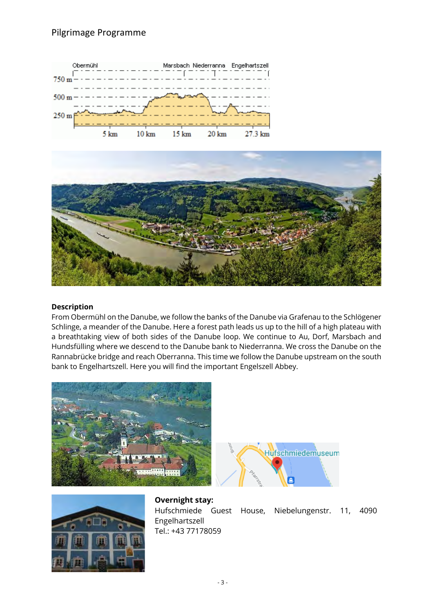## Pilgrimage Programme





#### **Description**

From Obermühl on the Danube, we follow the banks of the Danube via Grafenau to the Schlögener Schlinge, a meander of the Danube. Here a forest path leads us up to the hill of a high plateau with a breathtaking view of both sides of the Danube loop. We continue to Au, Dorf, Marsbach and Hundsfülling where we descend to the Danube bank to Niederranna. We cross the Danube on the Rannabrücke bridge and reach Oberranna. This time we follow the Danube upstream on the south bank to Engelhartszell. Here you will find the important Engelszell Abbey.





**Overnight stay:** Hufschmiede Guest House, Niebelungenstr. 11, 4090 Engelhartszell Tel.: +43 77178059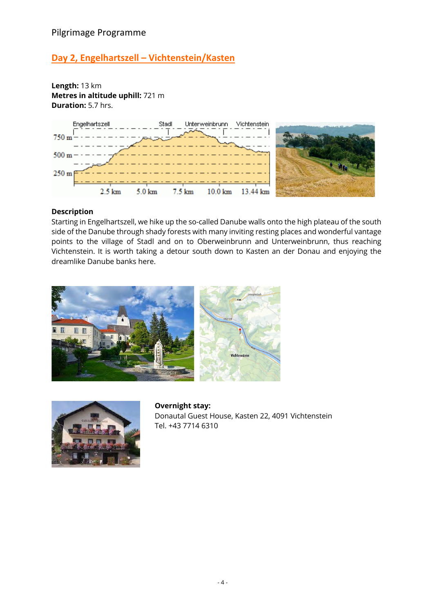# **Day 2, Engelhartszell – Vichtenstein/Kasten**

**Length:** 13 km **Metres in altitude uphill:** 721 m **Duration:** 5.7 hrs.



#### **Description**

Starting in Engelhartszell, we hike up the so-called Danube walls onto the high plateau of the south side of the Danube through shady forests with many inviting resting places and wonderful vantage points to the village of Stadl and on to Oberweinbrunn and Unterweinbrunn, thus reaching Vichtenstein. It is worth taking a detour south down to Kasten an der Donau and enjoying the dreamlike Danube banks here.





**Overnight stay:** Donautal Guest House, Kasten 22, 4091 Vichtenstein Tel. +43 7714 6310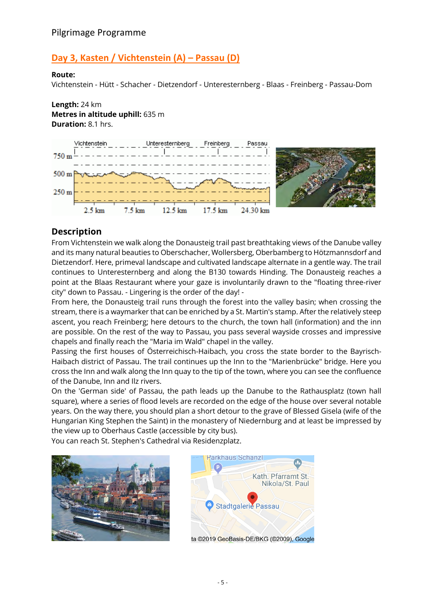# **Day 3, Kasten / Vichtenstein (A) – Passau (D)**

#### **Route:**

Vichtenstein - Hütt - Schacher - Dietzendorf - Unteresternberg - Blaas - Freinberg - Passau-Dom

#### **Length:** 24 km **Metres in altitude uphill:** 635 m **Duration:** 8.1 hrs.





## **Description**

From Vichtenstein we walk along the Donausteig trail past breathtaking views of the Danube valley and its many natural beauties to Oberschacher, Wollersberg, Oberbamberg to Hötzmannsdorf and Dietzendorf. Here, primeval landscape and cultivated landscape alternate in a gentle way. The trail continues to Unteresternberg and along the B130 towards Hinding. The Donausteig reaches a point at the Blaas Restaurant where your gaze is involuntarily drawn to the "floating three-river city" down to Passau. - Lingering is the order of the day! -

From here, the Donausteig trail runs through the forest into the valley basin; when crossing the stream, there is a waymarker that can be enriched by a St. Martin's stamp. After the relatively steep ascent, you reach Freinberg; here detours to the church, the town hall (information) and the inn are possible. On the rest of the way to Passau, you pass several wayside crosses and impressive chapels and finally reach the "Maria im Wald" chapel in the valley.

Passing the first houses of Österreichisch-Haibach, you cross the state border to the Bayrisch-Haibach district of Passau. The trail continues up the Inn to the "Marienbrücke" bridge. Here you cross the Inn and walk along the Inn quay to the tip of the town, where you can see the confluence of the Danube, Inn and Ilz rivers.

On the 'German side' of Passau, the path leads up the Danube to the Rathausplatz (town hall square), where a series of flood levels are recorded on the edge of the house over several notable years. On the way there, you should plan a short detour to the grave of Blessed Gisela (wife of the Hungarian King Stephen the Saint) in the monastery of Niedernburg and at least be impressed by the view up to Oberhaus Castle (accessible by city bus).

You can reach St. Stephen's Cathedral via Residenzplatz.





ta ©2019 GeoBasis-DE/BKG (©2009), Google